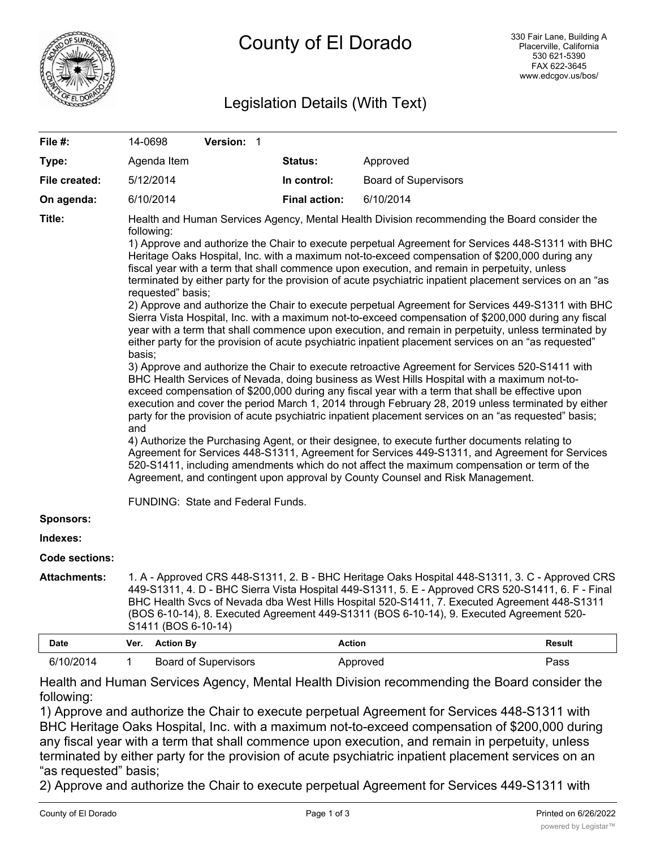

# Legislation Details (With Text)

| File #:             | 14-0698                                                                                                                                                                                                                                                                                                                                                                                                                                                                                                                                                                                                                                                                                                                                                                                                                                                                                                                                                                                                                                                                                                                                                                                                                                                                                                                                                                                                                                                                                                                                                                                                                                                                                                                                                                                                                                                                                                    |                  | Version: 1                  |         |                      |                             |               |
|---------------------|------------------------------------------------------------------------------------------------------------------------------------------------------------------------------------------------------------------------------------------------------------------------------------------------------------------------------------------------------------------------------------------------------------------------------------------------------------------------------------------------------------------------------------------------------------------------------------------------------------------------------------------------------------------------------------------------------------------------------------------------------------------------------------------------------------------------------------------------------------------------------------------------------------------------------------------------------------------------------------------------------------------------------------------------------------------------------------------------------------------------------------------------------------------------------------------------------------------------------------------------------------------------------------------------------------------------------------------------------------------------------------------------------------------------------------------------------------------------------------------------------------------------------------------------------------------------------------------------------------------------------------------------------------------------------------------------------------------------------------------------------------------------------------------------------------------------------------------------------------------------------------------------------------|------------------|-----------------------------|---------|----------------------|-----------------------------|---------------|
| Type:               |                                                                                                                                                                                                                                                                                                                                                                                                                                                                                                                                                                                                                                                                                                                                                                                                                                                                                                                                                                                                                                                                                                                                                                                                                                                                                                                                                                                                                                                                                                                                                                                                                                                                                                                                                                                                                                                                                                            | Agenda Item      |                             | Status: |                      | Approved                    |               |
| File created:       | 5/12/2014                                                                                                                                                                                                                                                                                                                                                                                                                                                                                                                                                                                                                                                                                                                                                                                                                                                                                                                                                                                                                                                                                                                                                                                                                                                                                                                                                                                                                                                                                                                                                                                                                                                                                                                                                                                                                                                                                                  |                  |                             |         | In control:          | <b>Board of Supervisors</b> |               |
| On agenda:          | 6/10/2014                                                                                                                                                                                                                                                                                                                                                                                                                                                                                                                                                                                                                                                                                                                                                                                                                                                                                                                                                                                                                                                                                                                                                                                                                                                                                                                                                                                                                                                                                                                                                                                                                                                                                                                                                                                                                                                                                                  |                  |                             |         | <b>Final action:</b> | 6/10/2014                   |               |
| Title:              | Health and Human Services Agency, Mental Health Division recommending the Board consider the<br>following:<br>1) Approve and authorize the Chair to execute perpetual Agreement for Services 448-S1311 with BHC<br>Heritage Oaks Hospital, Inc. with a maximum not-to-exceed compensation of \$200,000 during any<br>fiscal year with a term that shall commence upon execution, and remain in perpetuity, unless<br>terminated by either party for the provision of acute psychiatric inpatient placement services on an "as<br>requested" basis;<br>2) Approve and authorize the Chair to execute perpetual Agreement for Services 449-S1311 with BHC<br>Sierra Vista Hospital, Inc. with a maximum not-to-exceed compensation of \$200,000 during any fiscal<br>year with a term that shall commence upon execution, and remain in perpetuity, unless terminated by<br>either party for the provision of acute psychiatric inpatient placement services on an "as requested"<br>basis;<br>3) Approve and authorize the Chair to execute retroactive Agreement for Services 520-S1411 with<br>BHC Health Services of Nevada, doing business as West Hills Hospital with a maximum not-to-<br>exceed compensation of \$200,000 during any fiscal year with a term that shall be effective upon<br>execution and cover the period March 1, 2014 through February 28, 2019 unless terminated by either<br>party for the provision of acute psychiatric inpatient placement services on an "as requested" basis;<br>and<br>4) Authorize the Purchasing Agent, or their designee, to execute further documents relating to<br>Agreement for Services 448-S1311, Agreement for Services 449-S1311, and Agreement for Services<br>520-S1411, including amendments which do not affect the maximum compensation or term of the<br>Agreement, and contingent upon approval by County Counsel and Risk Management. |                  |                             |         |                      |                             |               |
|                     | FUNDING: State and Federal Funds.                                                                                                                                                                                                                                                                                                                                                                                                                                                                                                                                                                                                                                                                                                                                                                                                                                                                                                                                                                                                                                                                                                                                                                                                                                                                                                                                                                                                                                                                                                                                                                                                                                                                                                                                                                                                                                                                          |                  |                             |         |                      |                             |               |
| <b>Sponsors:</b>    |                                                                                                                                                                                                                                                                                                                                                                                                                                                                                                                                                                                                                                                                                                                                                                                                                                                                                                                                                                                                                                                                                                                                                                                                                                                                                                                                                                                                                                                                                                                                                                                                                                                                                                                                                                                                                                                                                                            |                  |                             |         |                      |                             |               |
| Indexes:            |                                                                                                                                                                                                                                                                                                                                                                                                                                                                                                                                                                                                                                                                                                                                                                                                                                                                                                                                                                                                                                                                                                                                                                                                                                                                                                                                                                                                                                                                                                                                                                                                                                                                                                                                                                                                                                                                                                            |                  |                             |         |                      |                             |               |
| Code sections:      |                                                                                                                                                                                                                                                                                                                                                                                                                                                                                                                                                                                                                                                                                                                                                                                                                                                                                                                                                                                                                                                                                                                                                                                                                                                                                                                                                                                                                                                                                                                                                                                                                                                                                                                                                                                                                                                                                                            |                  |                             |         |                      |                             |               |
| <b>Attachments:</b> | 1. A - Approved CRS 448-S1311, 2. B - BHC Heritage Oaks Hospital 448-S1311, 3. C - Approved CRS<br>449-S1311, 4. D - BHC Sierra Vista Hospital 449-S1311, 5. E - Approved CRS 520-S1411, 6. F - Final<br>BHC Health Svcs of Nevada dba West Hills Hospital 520-S1411, 7. Executed Agreement 448-S1311<br>(BOS 6-10-14), 8. Executed Agreement 449-S1311 (BOS 6-10-14), 9. Executed Agreement 520-<br>S1411 (BOS 6-10-14)                                                                                                                                                                                                                                                                                                                                                                                                                                                                                                                                                                                                                                                                                                                                                                                                                                                                                                                                                                                                                                                                                                                                                                                                                                                                                                                                                                                                                                                                                   |                  |                             |         |                      |                             |               |
| <b>Date</b>         | Ver.                                                                                                                                                                                                                                                                                                                                                                                                                                                                                                                                                                                                                                                                                                                                                                                                                                                                                                                                                                                                                                                                                                                                                                                                                                                                                                                                                                                                                                                                                                                                                                                                                                                                                                                                                                                                                                                                                                       | <b>Action By</b> |                             |         | <b>Action</b>        |                             | <b>Result</b> |
| 6/10/2014           | 1                                                                                                                                                                                                                                                                                                                                                                                                                                                                                                                                                                                                                                                                                                                                                                                                                                                                                                                                                                                                                                                                                                                                                                                                                                                                                                                                                                                                                                                                                                                                                                                                                                                                                                                                                                                                                                                                                                          |                  | <b>Board of Supervisors</b> |         |                      | Approved                    | Pass          |

Health and Human Services Agency, Mental Health Division recommending the Board consider the following:

1) Approve and authorize the Chair to execute perpetual Agreement for Services 448-S1311 with BHC Heritage Oaks Hospital, Inc. with a maximum not-to-exceed compensation of \$200,000 during any fiscal year with a term that shall commence upon execution, and remain in perpetuity, unless terminated by either party for the provision of acute psychiatric inpatient placement services on an "as requested" basis;

2) Approve and authorize the Chair to execute perpetual Agreement for Services 449-S1311 with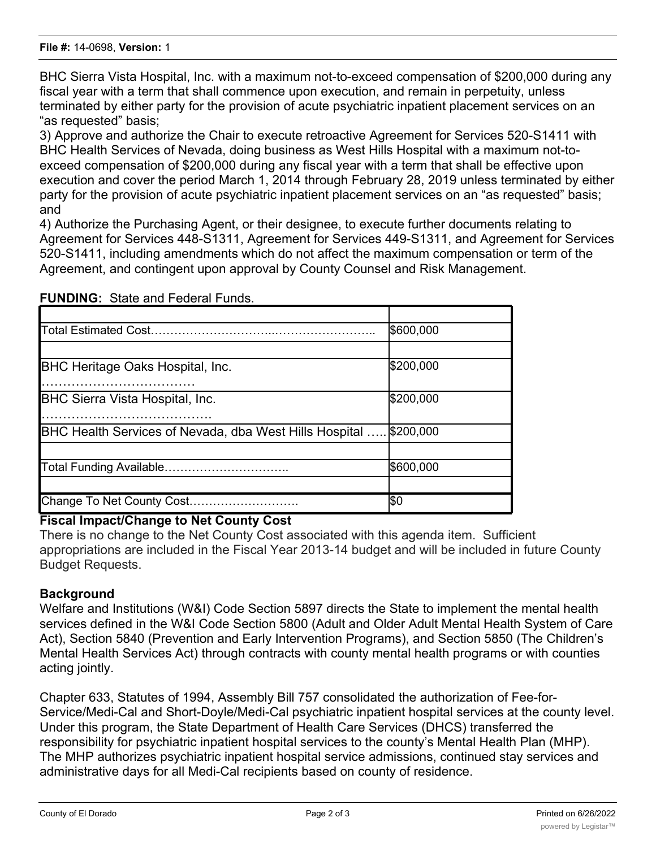BHC Sierra Vista Hospital, Inc. with a maximum not-to-exceed compensation of \$200,000 during any fiscal year with a term that shall commence upon execution, and remain in perpetuity, unless terminated by either party for the provision of acute psychiatric inpatient placement services on an "as requested" basis;

3) Approve and authorize the Chair to execute retroactive Agreement for Services 520-S1411 with BHC Health Services of Nevada, doing business as West Hills Hospital with a maximum not-toexceed compensation of \$200,000 during any fiscal year with a term that shall be effective upon execution and cover the period March 1, 2014 through February 28, 2019 unless terminated by either party for the provision of acute psychiatric inpatient placement services on an "as requested" basis; and

4) Authorize the Purchasing Agent, or their designee, to execute further documents relating to Agreement for Services 448-S1311, Agreement for Services 449-S1311, and Agreement for Services 520-S1411, including amendments which do not affect the maximum compensation or term of the Agreement, and contingent upon approval by County Counsel and Risk Management.

|                                                                | \$600,000 |
|----------------------------------------------------------------|-----------|
|                                                                |           |
| <b>BHC Heritage Oaks Hospital, Inc.</b>                        | \$200,000 |
|                                                                |           |
| <b>BHC Sierra Vista Hospital, Inc.</b>                         | \$200,000 |
| <b>BHC Health Services of Nevada, dba West Hills Hospital </b> | \$200,000 |
|                                                                |           |
| Total Funding Available                                        | \$600,000 |
|                                                                |           |
| Change To Net County Cost                                      | I\$0      |

#### **FUNDING:** State and Federal Funds.

# **Fiscal Impact/Change to Net County Cost**

There is no change to the Net County Cost associated with this agenda item. Sufficient appropriations are included in the Fiscal Year 2013-14 budget and will be included in future County Budget Requests.

# **Background**

Welfare and Institutions (W&I) Code Section 5897 directs the State to implement the mental health services defined in the W&I Code Section 5800 (Adult and Older Adult Mental Health System of Care Act), Section 5840 (Prevention and Early Intervention Programs), and Section 5850 (The Children's Mental Health Services Act) through contracts with county mental health programs or with counties acting jointly.

Chapter 633, Statutes of 1994, Assembly Bill 757 consolidated the authorization of Fee-for-Service/Medi-Cal and Short-Doyle/Medi-Cal psychiatric inpatient hospital services at the county level. Under this program, the State Department of Health Care Services (DHCS) transferred the responsibility for psychiatric inpatient hospital services to the county's Mental Health Plan (MHP). The MHP authorizes psychiatric inpatient hospital service admissions, continued stay services and administrative days for all Medi-Cal recipients based on county of residence.